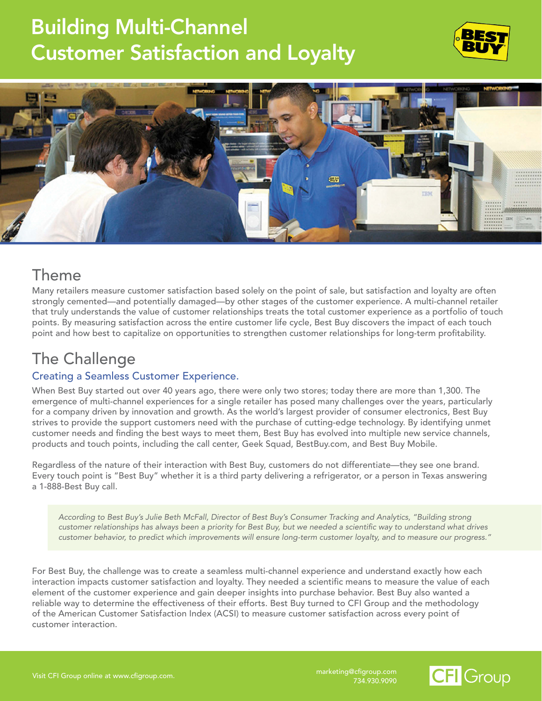## Building Multi-Channel Customer Satisfaction and Loyalty





### Theme

Many retailers measure customer satisfaction based solely on the point of sale, but satisfaction and loyalty are often strongly cemented—and potentially damaged—by other stages of the customer experience. A multi-channel retailer that truly understands the value of customer relationships treats the total customer experience as a portfolio of touch points. By measuring satisfaction across the entire customer life cycle, Best Buy discovers the impact of each touch point and how best to capitalize on opportunities to strengthen customer relationships for long-term profitability.

## The Challenge

#### Creating a Seamless Customer Experience.

When Best Buy started out over 40 years ago, there were only two stores; today there are more than 1,300. The emergence of multi-channel experiences for a single retailer has posed many challenges over the years, particularly for a company driven by innovation and growth. As the world's largest provider of consumer electronics, Best Buy strives to provide the support customers need with the purchase of cutting-edge technology. By identifying unmet customer needs and finding the best ways to meet them, Best Buy has evolved into multiple new service channels, products and touch points, including the call center, Geek Squad, BestBuy.com, and Best Buy Mobile.

Regardless of the nature of their interaction with Best Buy, customers do not differentiate—they see one brand. Every touch point is "Best Buy" whether it is a third party delivering a refrigerator, or a person in Texas answering a 1-888-Best Buy call.

*According to Best Buy's Julie Beth McFall, Director of Best Buy's Consumer Tracking and Analytics, "Building strong customer relationships has always been a priority for Best Buy, but we needed a scientific way to understand what drives customer behavior, to predict which improvements will ensure long-term customer loyalty, and to measure our progress."* 

For Best Buy, the challenge was to create a seamless multi-channel experience and understand exactly how each interaction impacts customer satisfaction and loyalty. They needed a scientific means to measure the value of each element of the customer experience and gain deeper insights into purchase behavior. Best Buy also wanted a reliable way to determine the effectiveness of their efforts. Best Buy turned to CFI Group and the methodology of the American Customer Satisfaction Index (ACSI) to measure customer satisfaction across every point of customer interaction.

734.930.9090

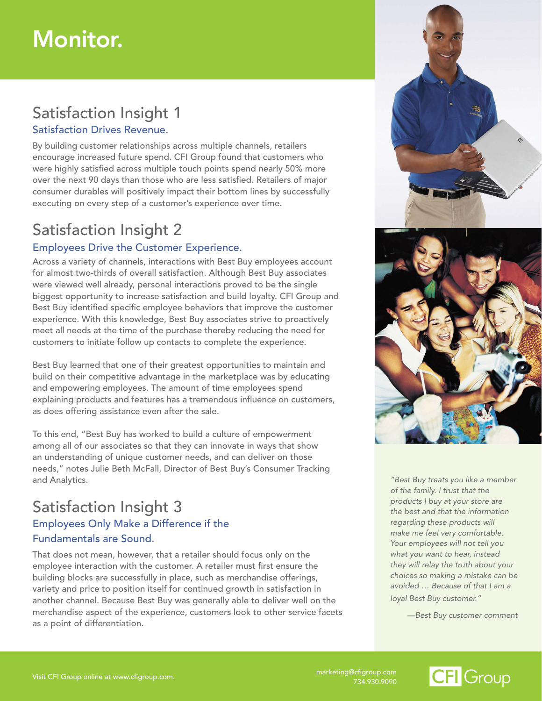# Monitor.

### Satisfaction Insight 1 Satisfaction Drives Revenue.

By building customer relationships across multiple channels, retailers encourage increased future spend. CFI Group found that customers who were highly satisfied across multiple touch points spend nearly 50% more over the next 90 days than those who are less satisfied. Retailers of major consumer durables will positively impact their bottom lines by successfully executing on every step of a customer's experience over time.

### Satisfaction Insight 2

#### Employees Drive the Customer Experience.

Across a variety of channels, interactions with Best Buy employees account for almost two-thirds of overall satisfaction. Although Best Buy associates were viewed well already, personal interactions proved to be the single biggest opportunity to increase satisfaction and build loyalty. CFI Group and Best Buy identified specific employee behaviors that improve the customer experience. With this knowledge, Best Buy associates strive to proactively meet all needs at the time of the purchase thereby reducing the need for customers to initiate follow up contacts to complete the experience.

Best Buy learned that one of their greatest opportunities to maintain and build on their competitive advantage in the marketplace was by educating and empowering employees. The amount of time employees spend explaining products and features has a tremendous influence on customers, as does offering assistance even after the sale.

To this end, "Best Buy has worked to build a culture of empowerment among all of our associates so that they can innovate in ways that show an understanding of unique customer needs, and can deliver on those needs," notes Julie Beth McFall, Director of Best Buy's Consumer Tracking and Analytics.

### Satisfaction Insight 3 Employees Only Make a Difference if the Fundamentals are Sound.

That does not mean, however, that a retailer should focus only on the employee interaction with the customer. A retailer must first ensure the building blocks are successfully in place, such as merchandise offerings, variety and price to position itself for continued growth in satisfaction in another channel. Because Best Buy was generally able to deliver well on the merchandise aspect of the experience, customers look to other service facets as a point of differentiation.



*"Best Buy treats you like a member of the family. I trust that the products I buy at your store are the best and that the information regarding these products will make me feel very comfortable. Your employees will not tell you what you want to hear, instead they will relay the truth about your choices so making a mistake can be avoided … Because of that I am a loyal Best Buy customer."* 

*—Best Buy customer comment* 

**CFI** Group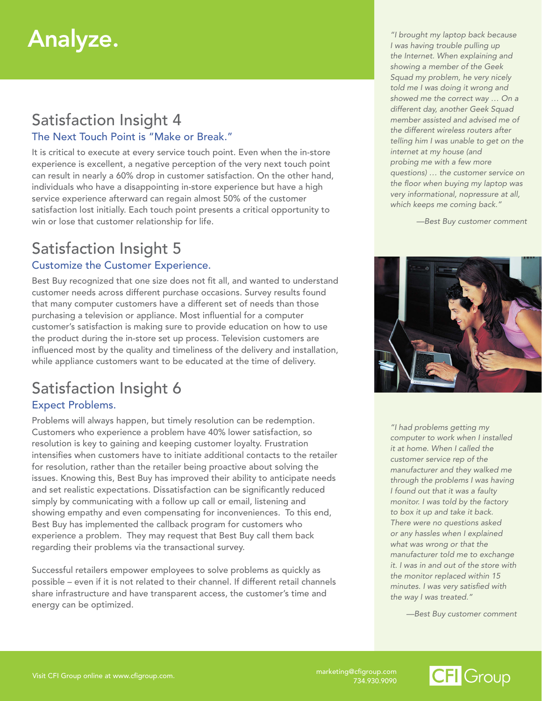# Analyze.

## Satisfaction Insight 4

#### The Next Touch Point is "Make or Break."

It is critical to execute at every service touch point. Even when the in-store experience is excellent, a negative perception of the very next touch point can result in nearly a 60% drop in customer satisfaction. On the other hand, individuals who have a disappointing in-store experience but have a high service experience afterward can regain almost 50% of the customer satisfaction lost initially. Each touch point presents a critical opportunity to win or lose that customer relationship for life.

### Satisfaction Insight 5 Customize the Customer Experience.

Best Buy recognized that one size does not fit all, and wanted to understand customer needs across different purchase occasions. Survey results found that many computer customers have a different set of needs than those purchasing a television or appliance. Most influential for a computer customer's satisfaction is making sure to provide education on how to use the product during the in-store set up process. Television customers are influenced most by the quality and timeliness of the delivery and installation, while appliance customers want to be educated at the time of delivery.

### Satisfaction Insight 6 Expect Problems.

Problems will always happen, but timely resolution can be redemption. Customers who experience a problem have 40% lower satisfaction, so resolution is key to gaining and keeping customer loyalty. Frustration intensifies when customers have to initiate additional contacts to the retailer for resolution, rather than the retailer being proactive about solving the issues. Knowing this, Best Buy has improved their ability to anticipate needs and set realistic expectations. Dissatisfaction can be significantly reduced simply by communicating with a follow up call or email, listening and showing empathy and even compensating for inconveniences. To this end, Best Buy has implemented the callback program for customers who experience a problem. They may request that Best Buy call them back regarding their problems via the transactional survey.

Successful retailers empower employees to solve problems as quickly as possible – even if it is not related to their channel. If different retail channels share infrastructure and have transparent access, the customer's time and energy can be optimized.

*told me I was doing it wrong and showed me the correct way … On a different day, another Geek Squad member assisted and advised me of the different wireless routers after telling him I was unable to get on the internet at my house (and probing me with a few more questions) … the customer service on the floor when buying my laptop was very informational, nopressure at all, which keeps me coming back." "I brought my laptop back because I was having trouble pulling up the Internet. When explaining and showing a member of the Geek Squad my problem, he very nicely* 

*—Best Buy customer comment* 



*"I had problems getting my computer to work when I installed it at home. When I called the customer service rep of the manufacturer and they walked me through the problems I was having I found out that it was a faulty monitor. I was told by the factory to box it up and take it back. There were no questions asked or any hassles when I explained what was wrong or that the manufacturer told me to exchange it. I was in and out of the store with the monitor replaced within 15 minutes. I was very satisfied with the way I was treated."* 

*—Best Buy customer comment* 

**CFI** Group